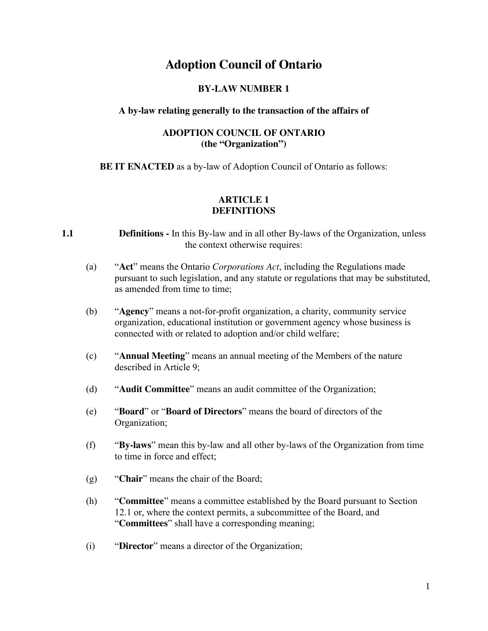# **Adoption Council of Ontario**

## **BY-LAW NUMBER 1**

#### **A by-law relating generally to the transaction of the affairs of**

#### **ADOPTION COUNCIL OF ONTARIO (the "Organization")**

**BE IT ENACTED** as a by-law of Adoption Council of Ontario as follows:

#### **ARTICLE 1 DEFINITIONS**

- **1.1 Definitions -** In this By-law and in all other By-laws of the Organization, unless the context otherwise requires:
	- (a) "**Act**" means the Ontario *Corporations Act*, including the Regulations made pursuant to such legislation, and any statute or regulations that may be substituted, as amended from time to time;
	- (b) "**Agency**" means a not-for-profit organization, a charity, community service organization, educational institution or government agency whose business is connected with or related to adoption and/or child welfare;
	- (c) "**Annual Meeting**" means an annual meeting of the Members of the nature described in Article 9;
	- (d) "**Audit Committee**" means an audit committee of the Organization;
	- (e) "**Board**" or "**Board of Directors**" means the board of directors of the Organization;
	- (f) "**By-laws**" mean this by-law and all other by-laws of the Organization from time to time in force and effect;
	- (g) "**Chair**" means the chair of the Board;
	- (h) "**Committee**" means a committee established by the Board pursuant to Section 12.1 or, where the context permits, a subcommittee of the Board, and "**Committees**" shall have a corresponding meaning;
	- (i) "**Director**" means a director of the Organization;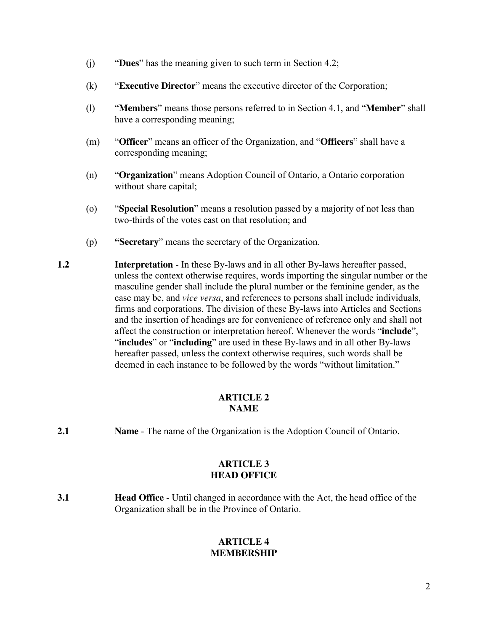- (j) "**Dues**" has the meaning given to such term in Section 4.2;
- (k) "**Executive Director**" means the executive director of the Corporation;
- (l) "**Members**" means those persons referred to in Section 4.1, and "**Member**" shall have a corresponding meaning;
- (m) "**Officer**" means an officer of the Organization, and "**Officers**" shall have a corresponding meaning;
- (n) "**Organization**" means Adoption Council of Ontario, a Ontario corporation without share capital;
- (o) "**Special Resolution**" means a resolution passed by a majority of not less than two-thirds of the votes cast on that resolution; and
- (p) **"Secretary**" means the secretary of the Organization.
- **1.2 Interpretation** In these By-laws and in all other By-laws hereafter passed, unless the context otherwise requires, words importing the singular number or the masculine gender shall include the plural number or the feminine gender, as the case may be, and *vice versa*, and references to persons shall include individuals, firms and corporations. The division of these By-laws into Articles and Sections and the insertion of headings are for convenience of reference only and shall not affect the construction or interpretation hereof. Whenever the words "**include**", "**includes**" or "**including**" are used in these By-laws and in all other By-laws hereafter passed, unless the context otherwise requires, such words shall be deemed in each instance to be followed by the words "without limitation."

# **ARTICLE 2 NAME**

**2.1** Name - The name of the Organization is the Adoption Council of Ontario.

# **ARTICLE 3 HEAD OFFICE**

**3.1 Head Office** - Until changed in accordance with the Act, the head office of the Organization shall be in the Province of Ontario.

# **ARTICLE 4 MEMBERSHIP**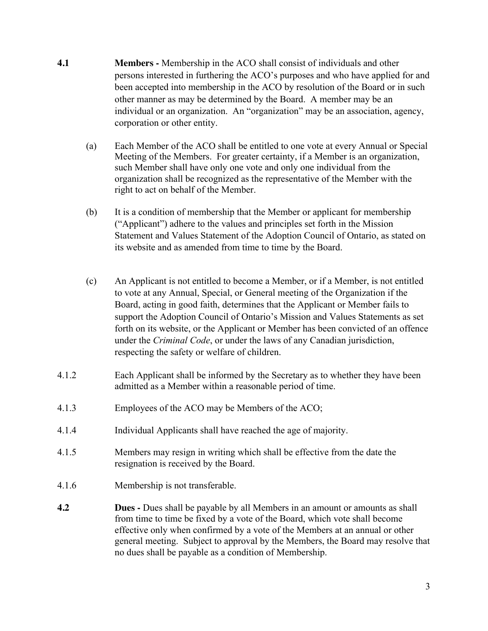- **4.1 Members -** Membership in the ACO shall consist of individuals and other persons interested in furthering the ACO's purposes and who have applied for and been accepted into membership in the ACO by resolution of the Board or in such other manner as may be determined by the Board. A member may be an individual or an organization. An "organization" may be an association, agency, corporation or other entity.
	- (a) Each Member of the ACO shall be entitled to one vote at every Annual or Special Meeting of the Members. For greater certainty, if a Member is an organization, such Member shall have only one vote and only one individual from the organization shall be recognized as the representative of the Member with the right to act on behalf of the Member.
	- (b) It is a condition of membership that the Member or applicant for membership ("Applicant") adhere to the values and principles set forth in the Mission Statement and Values Statement of the Adoption Council of Ontario, as stated on its website and as amended from time to time by the Board.
	- (c) An Applicant is not entitled to become a Member, or if a Member, is not entitled to vote at any Annual, Special, or General meeting of the Organization if the Board, acting in good faith, determines that the Applicant or Member fails to support the Adoption Council of Ontario's Mission and Values Statements as set forth on its website, or the Applicant or Member has been convicted of an offence under the *Criminal Code*, or under the laws of any Canadian jurisdiction, respecting the safety or welfare of children.
- 4.1.2 Each Applicant shall be informed by the Secretary as to whether they have been admitted as a Member within a reasonable period of time.
- 4.1.3 Employees of the ACO may be Members of the ACO;
- 4.1.4 Individual Applicants shall have reached the age of majority.
- 4.1.5 Members may resign in writing which shall be effective from the date the resignation is received by the Board.
- 4.1.6 Membership is not transferable.
- **4.2 Dues -** Dues shall be payable by all Members in an amount or amounts as shall from time to time be fixed by a vote of the Board, which vote shall become effective only when confirmed by a vote of the Members at an annual or other general meeting. Subject to approval by the Members, the Board may resolve that no dues shall be payable as a condition of Membership.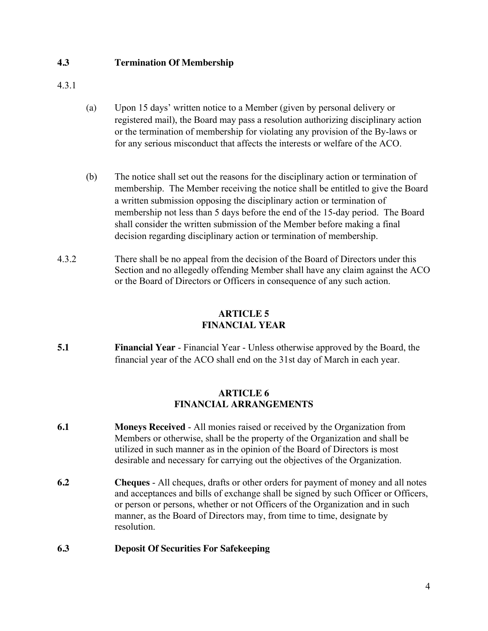## **4.3 Termination Of Membership**

4.3.1

- (a) Upon 15 days' written notice to a Member (given by personal delivery or registered mail), the Board may pass a resolution authorizing disciplinary action or the termination of membership for violating any provision of the By-laws or for any serious misconduct that affects the interests or welfare of the ACO.
- (b) The notice shall set out the reasons for the disciplinary action or termination of membership. The Member receiving the notice shall be entitled to give the Board a written submission opposing the disciplinary action or termination of membership not less than 5 days before the end of the 15-day period. The Board shall consider the written submission of the Member before making a final decision regarding disciplinary action or termination of membership.
- 4.3.2 There shall be no appeal from the decision of the Board of Directors under this Section and no allegedly offending Member shall have any claim against the ACO or the Board of Directors or Officers in consequence of any such action.

# **ARTICLE 5 FINANCIAL YEAR**

**5.1** Financial Year - Financial Year - Unless otherwise approved by the Board, the financial year of the ACO shall end on the 31st day of March in each year.

## **ARTICLE 6 FINANCIAL ARRANGEMENTS**

- **6.1 Moneys Received**  All monies raised or received by the Organization from Members or otherwise, shall be the property of the Organization and shall be utilized in such manner as in the opinion of the Board of Directors is most desirable and necessary for carrying out the objectives of the Organization.
- **6.2 Cheques**  All cheques, drafts or other orders for payment of money and all notes and acceptances and bills of exchange shall be signed by such Officer or Officers, or person or persons, whether or not Officers of the Organization and in such manner, as the Board of Directors may, from time to time, designate by resolution.

# **6.3 Deposit Of Securities For Safekeeping**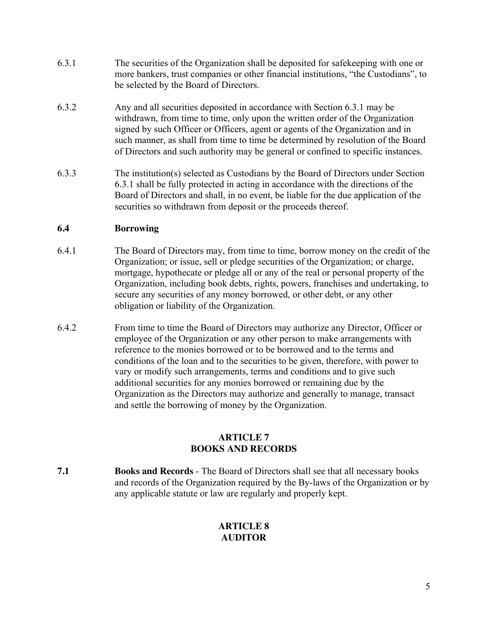- 6.3.1 The securities of the Organization shall be deposited for safekeeping with one or more bankers, trust companies or other financial institutions, "the Custodians", to be selected by the Board of Directors.
- 6.3.2 Any and all securities deposited in accordance with Section 6.3.1 may be withdrawn, from time to time, only upon the written order of the Organization signed by such Officer or Officers, agent or agents of the Organization and in such manner, as shall from time to time be determined by resolution of the Board of Directors and such authority may be general or confined to specific instances.
- 6.3.3 The institution(s) selected as Custodians by the Board of Directors under Section 6.3.1 shall be fully protected in acting in accordance with the directions of the Board of Directors and shall, in no event, be liable for the due application of the securities so withdrawn from deposit or the proceeds thereof.

# **6.4 Borrowing**

- 6.4.1 The Board of Directors may, from time to time, borrow money on the credit of the Organization; or issue, sell or pledge securities of the Organization; or charge, mortgage, hypothecate or pledge all or any of the real or personal property of the Organization, including book debts, rights, powers, franchises and undertaking, to secure any securities of any money borrowed, or other debt, or any other obligation or liability of the Organization.
- 6.4.2 From time to time the Board of Directors may authorize any Director, Officer or employee of the Organization or any other person to make arrangements with reference to the monies borrowed or to be borrowed and to the terms and conditions of the loan and to the securities to be given, therefore, with power to vary or modify such arrangements, terms and conditions and to give such additional securities for any monies borrowed or remaining due by the Organization as the Directors may authorize and generally to manage, transact and settle the borrowing of money by the Organization.

## **ARTICLE 7 BOOKS AND RECORDS**

**7.1 Books and Records** - The Board of Directors shall see that all necessary books and records of the Organization required by the By-laws of the Organization or by any applicable statute or law are regularly and properly kept.

# **ARTICLE 8 AUDITOR**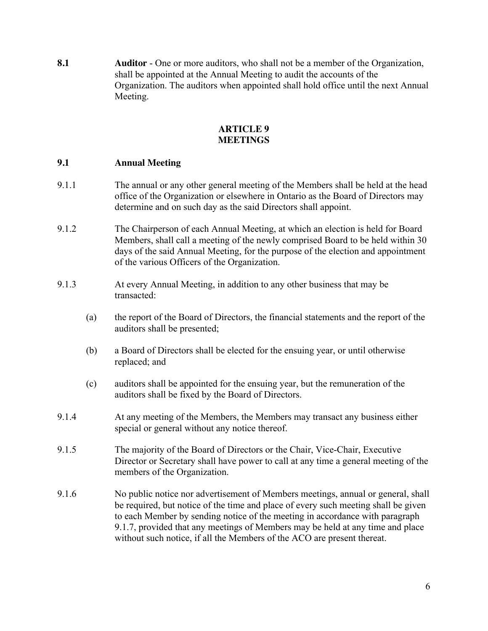**8.1 Auditor** - One or more auditors, who shall not be a member of the Organization, shall be appointed at the Annual Meeting to audit the accounts of the Organization. The auditors when appointed shall hold office until the next Annual Meeting.

## **ARTICLE 9 MEETINGS**

## **9.1 Annual Meeting**

- 9.1.1 The annual or any other general meeting of the Members shall be held at the head office of the Organization or elsewhere in Ontario as the Board of Directors may determine and on such day as the said Directors shall appoint.
- 9.1.2 The Chairperson of each Annual Meeting, at which an election is held for Board Members, shall call a meeting of the newly comprised Board to be held within 30 days of the said Annual Meeting, for the purpose of the election and appointment of the various Officers of the Organization.
- 9.1.3 At every Annual Meeting, in addition to any other business that may be transacted:
	- (a) the report of the Board of Directors, the financial statements and the report of the auditors shall be presented;
	- (b) a Board of Directors shall be elected for the ensuing year, or until otherwise replaced; and
	- (c) auditors shall be appointed for the ensuing year, but the remuneration of the auditors shall be fixed by the Board of Directors.
- 9.1.4 At any meeting of the Members, the Members may transact any business either special or general without any notice thereof.
- 9.1.5 The majority of the Board of Directors or the Chair, Vice-Chair, Executive Director or Secretary shall have power to call at any time a general meeting of the members of the Organization.
- 9.1.6 No public notice nor advertisement of Members meetings, annual or general, shall be required, but notice of the time and place of every such meeting shall be given to each Member by sending notice of the meeting in accordance with paragraph 9.1.7, provided that any meetings of Members may be held at any time and place without such notice, if all the Members of the ACO are present thereat.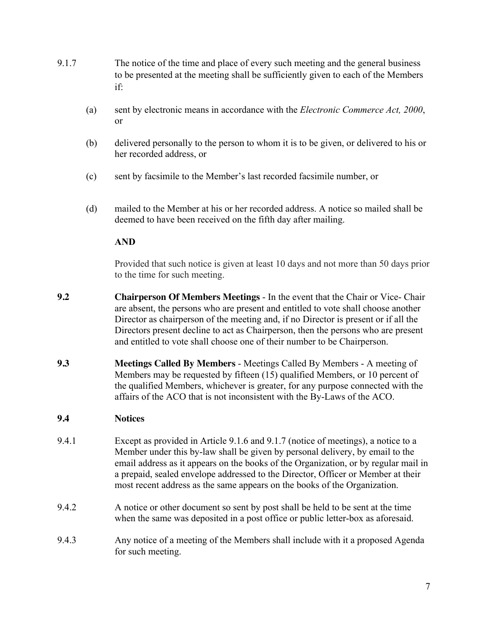- 9.1.7 The notice of the time and place of every such meeting and the general business to be presented at the meeting shall be sufficiently given to each of the Members if:
	- (a) sent by electronic means in accordance with the *Electronic Commerce Act, 2000*, or
	- (b) delivered personally to the person to whom it is to be given, or delivered to his or her recorded address, or
	- (c) sent by facsimile to the Member's last recorded facsimile number, or
	- (d) mailed to the Member at his or her recorded address. A notice so mailed shall be deemed to have been received on the fifth day after mailing.

## **AND**

Provided that such notice is given at least 10 days and not more than 50 days prior to the time for such meeting.

- **9.2 Chairperson Of Members Meetings**  In the event that the Chair or Vice- Chair are absent, the persons who are present and entitled to vote shall choose another Director as chairperson of the meeting and, if no Director is present or if all the Directors present decline to act as Chairperson, then the persons who are present and entitled to vote shall choose one of their number to be Chairperson.
- **9.3 Meetings Called By Members**  Meetings Called By Members A meeting of Members may be requested by fifteen (15) qualified Members, or 10 percent of the qualified Members, whichever is greater, for any purpose connected with the affairs of the ACO that is not inconsistent with the By-Laws of the ACO.

# **9.4 Notices**

- 9.4.1 Except as provided in Article 9.1.6 and 9.1.7 (notice of meetings), a notice to a Member under this by-law shall be given by personal delivery, by email to the email address as it appears on the books of the Organization, or by regular mail in a prepaid, sealed envelope addressed to the Director, Officer or Member at their most recent address as the same appears on the books of the Organization.
- 9.4.2 A notice or other document so sent by post shall be held to be sent at the time when the same was deposited in a post office or public letter-box as aforesaid.
- 9.4.3 Any notice of a meeting of the Members shall include with it a proposed Agenda for such meeting.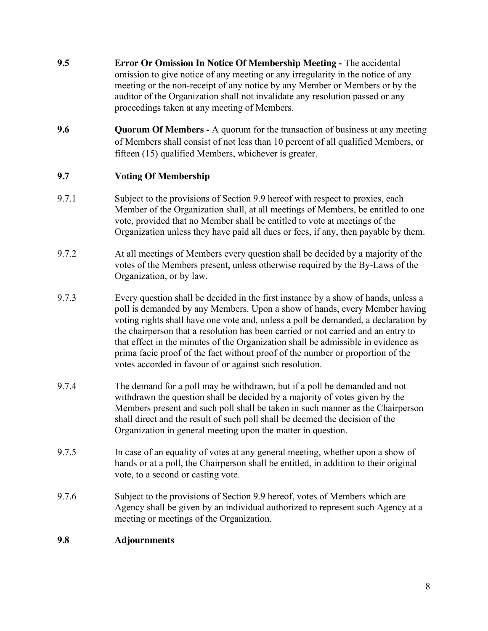- **9.5 Error Or Omission In Notice Of Membership Meeting -** The accidental omission to give notice of any meeting or any irregularity in the notice of any meeting or the non-receipt of any notice by any Member or Members or by the auditor of the Organization shall not invalidate any resolution passed or any proceedings taken at any meeting of Members.
- **9.6 Quorum Of Members -** A quorum for the transaction of business at any meeting of Members shall consist of not less than 10 percent of all qualified Members, or fifteen (15) qualified Members, whichever is greater.

# **9.7 Voting Of Membership**

- 9.7.1 Subject to the provisions of Section 9.9 hereof with respect to proxies, each Member of the Organization shall, at all meetings of Members, be entitled to one vote, provided that no Member shall be entitled to vote at meetings of the Organization unless they have paid all dues or fees, if any, then payable by them.
- 9.7.2 At all meetings of Members every question shall be decided by a majority of the votes of the Members present, unless otherwise required by the By-Laws of the Organization, or by law.
- 9.7.3 Every question shall be decided in the first instance by a show of hands, unless a poll is demanded by any Members. Upon a show of hands, every Member having voting rights shall have one vote and, unless a poll be demanded, a declaration by the chairperson that a resolution has been carried or not carried and an entry to that effect in the minutes of the Organization shall be admissible in evidence as prima facie proof of the fact without proof of the number or proportion of the votes accorded in favour of or against such resolution.
- 9.7.4 The demand for a poll may be withdrawn, but if a poll be demanded and not withdrawn the question shall be decided by a majority of votes given by the Members present and such poll shall be taken in such manner as the Chairperson shall direct and the result of such poll shall be deemed the decision of the Organization in general meeting upon the matter in question.
- 9.7.5 In case of an equality of votes at any general meeting, whether upon a show of hands or at a poll, the Chairperson shall be entitled, in addition to their original vote, to a second or casting vote.
- 9.7.6 Subject to the provisions of Section 9.9 hereof, votes of Members which are Agency shall be given by an individual authorized to represent such Agency at a meeting or meetings of the Organization.

# **9.8 Adjournments**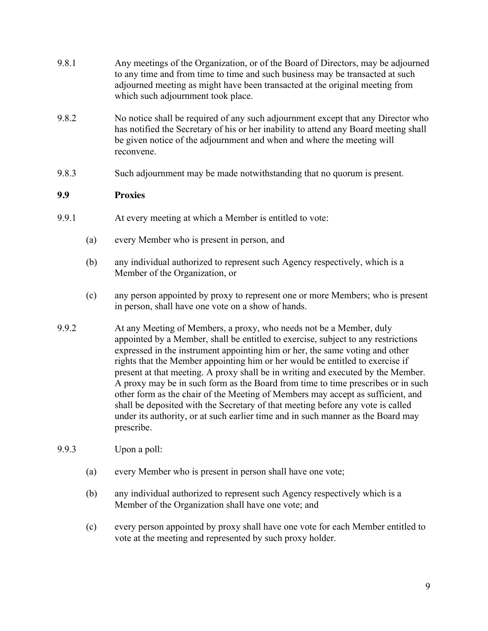- 9.8.1 Any meetings of the Organization, or of the Board of Directors, may be adjourned to any time and from time to time and such business may be transacted at such adjourned meeting as might have been transacted at the original meeting from which such adjournment took place.
- 9.8.2 No notice shall be required of any such adjournment except that any Director who has notified the Secretary of his or her inability to attend any Board meeting shall be given notice of the adjournment and when and where the meeting will reconvene.
- 9.8.3 Such adjournment may be made notwithstanding that no quorum is present.

## **9.9 Proxies**

- 9.9.1 At every meeting at which a Member is entitled to vote:
	- (a) every Member who is present in person, and
	- (b) any individual authorized to represent such Agency respectively, which is a Member of the Organization, or
	- (c) any person appointed by proxy to represent one or more Members; who is present in person, shall have one vote on a show of hands.
- 9.9.2 At any Meeting of Members, a proxy, who needs not be a Member, duly appointed by a Member, shall be entitled to exercise, subject to any restrictions expressed in the instrument appointing him or her, the same voting and other rights that the Member appointing him or her would be entitled to exercise if present at that meeting. A proxy shall be in writing and executed by the Member. A proxy may be in such form as the Board from time to time prescribes or in such other form as the chair of the Meeting of Members may accept as sufficient, and shall be deposited with the Secretary of that meeting before any vote is called under its authority, or at such earlier time and in such manner as the Board may prescribe.
- 9.9.3 Upon a poll:
	- (a) every Member who is present in person shall have one vote;
	- (b) any individual authorized to represent such Agency respectively which is a Member of the Organization shall have one vote; and
	- (c) every person appointed by proxy shall have one vote for each Member entitled to vote at the meeting and represented by such proxy holder.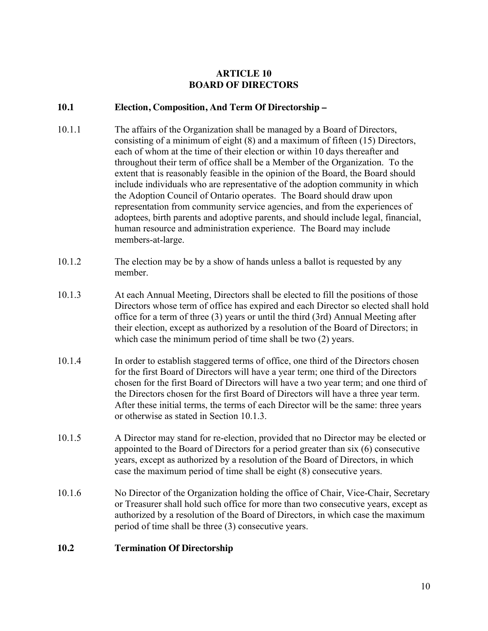## **ARTICLE 10 BOARD OF DIRECTORS**

## **10.1 Election, Composition, And Term Of Directorship –**

- 10.1.1 The affairs of the Organization shall be managed by a Board of Directors, consisting of a minimum of eight (8) and a maximum of fifteen (15) Directors, each of whom at the time of their election or within 10 days thereafter and throughout their term of office shall be a Member of the Organization. To the extent that is reasonably feasible in the opinion of the Board, the Board should include individuals who are representative of the adoption community in which the Adoption Council of Ontario operates. The Board should draw upon representation from community service agencies, and from the experiences of adoptees, birth parents and adoptive parents, and should include legal, financial, human resource and administration experience. The Board may include members-at-large.
- 10.1.2 The election may be by a show of hands unless a ballot is requested by any member.
- 10.1.3 At each Annual Meeting, Directors shall be elected to fill the positions of those Directors whose term of office has expired and each Director so elected shall hold office for a term of three (3) years or until the third (3rd) Annual Meeting after their election, except as authorized by a resolution of the Board of Directors; in which case the minimum period of time shall be two  $(2)$  years.
- 10.1.4 In order to establish staggered terms of office, one third of the Directors chosen for the first Board of Directors will have a year term; one third of the Directors chosen for the first Board of Directors will have a two year term; and one third of the Directors chosen for the first Board of Directors will have a three year term. After these initial terms, the terms of each Director will be the same: three years or otherwise as stated in Section 10.1.3.
- 10.1.5 A Director may stand for re-election, provided that no Director may be elected or appointed to the Board of Directors for a period greater than six (6) consecutive years, except as authorized by a resolution of the Board of Directors, in which case the maximum period of time shall be eight (8) consecutive years.
- 10.1.6 No Director of the Organization holding the office of Chair, Vice-Chair, Secretary or Treasurer shall hold such office for more than two consecutive years, except as authorized by a resolution of the Board of Directors, in which case the maximum period of time shall be three (3) consecutive years.

# **10.2 Termination Of Directorship**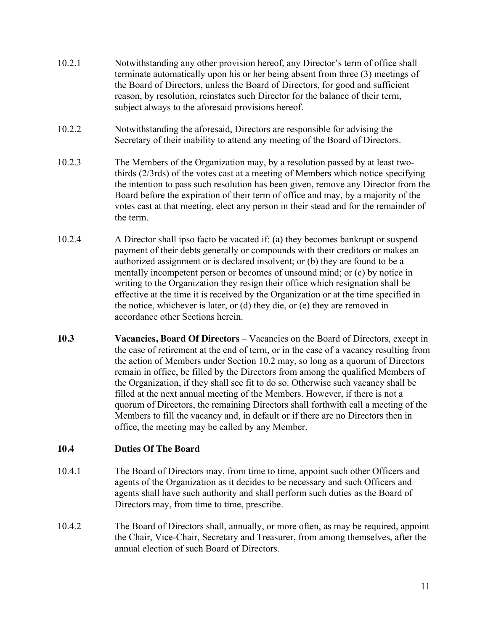- 10.2.1 Notwithstanding any other provision hereof, any Director's term of office shall terminate automatically upon his or her being absent from three (3) meetings of the Board of Directors, unless the Board of Directors, for good and sufficient reason, by resolution, reinstates such Director for the balance of their term, subject always to the aforesaid provisions hereof.
- 10.2.2 Notwithstanding the aforesaid, Directors are responsible for advising the Secretary of their inability to attend any meeting of the Board of Directors.
- 10.2.3 The Members of the Organization may, by a resolution passed by at least twothirds (2/3rds) of the votes cast at a meeting of Members which notice specifying the intention to pass such resolution has been given, remove any Director from the Board before the expiration of their term of office and may, by a majority of the votes cast at that meeting, elect any person in their stead and for the remainder of the term.
- 10.2.4 A Director shall ipso facto be vacated if: (a) they becomes bankrupt or suspend payment of their debts generally or compounds with their creditors or makes an authorized assignment or is declared insolvent; or (b) they are found to be a mentally incompetent person or becomes of unsound mind; or (c) by notice in writing to the Organization they resign their office which resignation shall be effective at the time it is received by the Organization or at the time specified in the notice, whichever is later, or (d) they die, or (e) they are removed in accordance other Sections herein.
- **10.3** Vacancies, Board Of Directors Vacancies on the Board of Directors, except in the case of retirement at the end of term, or in the case of a vacancy resulting from the action of Members under Section 10.2 may, so long as a quorum of Directors remain in office, be filled by the Directors from among the qualified Members of the Organization, if they shall see fit to do so. Otherwise such vacancy shall be filled at the next annual meeting of the Members. However, if there is not a quorum of Directors, the remaining Directors shall forthwith call a meeting of the Members to fill the vacancy and, in default or if there are no Directors then in office, the meeting may be called by any Member.

# **10.4 Duties Of The Board**

- 10.4.1 The Board of Directors may, from time to time, appoint such other Officers and agents of the Organization as it decides to be necessary and such Officers and agents shall have such authority and shall perform such duties as the Board of Directors may, from time to time, prescribe.
- 10.4.2 The Board of Directors shall, annually, or more often, as may be required, appoint the Chair, Vice-Chair, Secretary and Treasurer, from among themselves, after the annual election of such Board of Directors.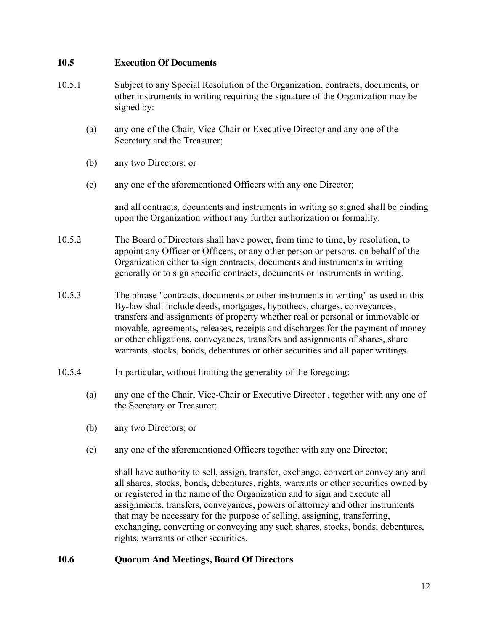#### **10.5 Execution Of Documents**

- 10.5.1 Subject to any Special Resolution of the Organization, contracts, documents, or other instruments in writing requiring the signature of the Organization may be signed by:
	- (a) any one of the Chair, Vice-Chair or Executive Director and any one of the Secretary and the Treasurer;
	- (b) any two Directors; or
	- (c) any one of the aforementioned Officers with any one Director;

and all contracts, documents and instruments in writing so signed shall be binding upon the Organization without any further authorization or formality.

- 10.5.2 The Board of Directors shall have power, from time to time, by resolution, to appoint any Officer or Officers, or any other person or persons, on behalf of the Organization either to sign contracts, documents and instruments in writing generally or to sign specific contracts, documents or instruments in writing.
- 10.5.3 The phrase "contracts, documents or other instruments in writing" as used in this By-law shall include deeds, mortgages, hypothecs, charges, conveyances, transfers and assignments of property whether real or personal or immovable or movable, agreements, releases, receipts and discharges for the payment of money or other obligations, conveyances, transfers and assignments of shares, share warrants, stocks, bonds, debentures or other securities and all paper writings.
- 10.5.4 In particular, without limiting the generality of the foregoing:
	- (a) any one of the Chair, Vice-Chair or Executive Director , together with any one of the Secretary or Treasurer;
	- (b) any two Directors; or
	- (c) any one of the aforementioned Officers together with any one Director;

shall have authority to sell, assign, transfer, exchange, convert or convey any and all shares, stocks, bonds, debentures, rights, warrants or other securities owned by or registered in the name of the Organization and to sign and execute all assignments, transfers, conveyances, powers of attorney and other instruments that may be necessary for the purpose of selling, assigning, transferring, exchanging, converting or conveying any such shares, stocks, bonds, debentures, rights, warrants or other securities.

# **10.6 Quorum And Meetings, Board Of Directors**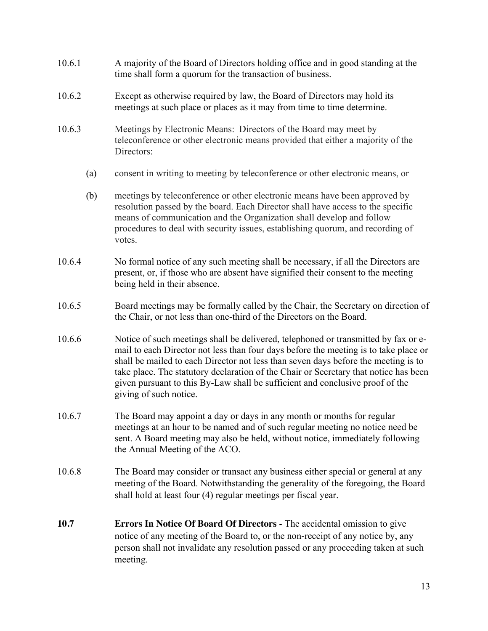- 10.6.1 A majority of the Board of Directors holding office and in good standing at the time shall form a quorum for the transaction of business.
- 10.6.2 Except as otherwise required by law, the Board of Directors may hold its meetings at such place or places as it may from time to time determine.
- 10.6.3 Meetings by Electronic Means: Directors of the Board may meet by teleconference or other electronic means provided that either a majority of the Directors:
	- (a) consent in writing to meeting by teleconference or other electronic means, or
	- (b) meetings by teleconference or other electronic means have been approved by resolution passed by the board. Each Director shall have access to the specific means of communication and the Organization shall develop and follow procedures to deal with security issues, establishing quorum, and recording of votes.
- 10.6.4 No formal notice of any such meeting shall be necessary, if all the Directors are present, or, if those who are absent have signified their consent to the meeting being held in their absence.
- 10.6.5 Board meetings may be formally called by the Chair, the Secretary on direction of the Chair, or not less than one-third of the Directors on the Board.
- 10.6.6 Notice of such meetings shall be delivered, telephoned or transmitted by fax or email to each Director not less than four days before the meeting is to take place or shall be mailed to each Director not less than seven days before the meeting is to take place. The statutory declaration of the Chair or Secretary that notice has been given pursuant to this By-Law shall be sufficient and conclusive proof of the giving of such notice.
- 10.6.7 The Board may appoint a day or days in any month or months for regular meetings at an hour to be named and of such regular meeting no notice need be sent. A Board meeting may also be held, without notice, immediately following the Annual Meeting of the ACO.
- 10.6.8 The Board may consider or transact any business either special or general at any meeting of the Board. Notwithstanding the generality of the foregoing, the Board shall hold at least four (4) regular meetings per fiscal year.
- **10.7 Errors In Notice Of Board Of Directors -** The accidental omission to give notice of any meeting of the Board to, or the non-receipt of any notice by, any person shall not invalidate any resolution passed or any proceeding taken at such meeting.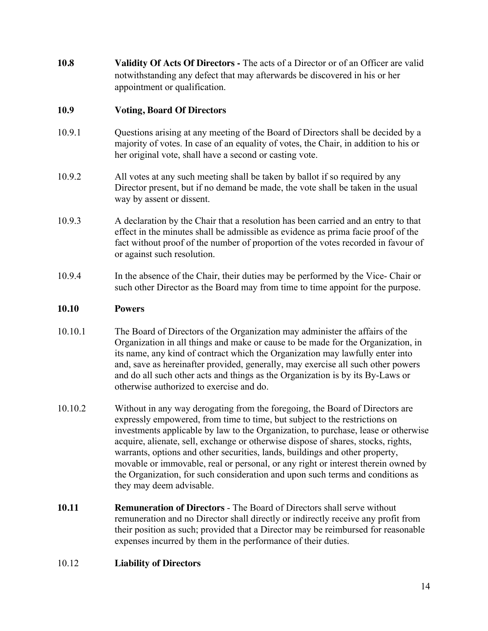**10.8 Validity Of Acts Of Directors -** The acts of a Director or of an Officer are valid notwithstanding any defect that may afterwards be discovered in his or her appointment or qualification.

## **10.9 Voting, Board Of Directors**

- 10.9.1 Questions arising at any meeting of the Board of Directors shall be decided by a majority of votes. In case of an equality of votes, the Chair, in addition to his or her original vote, shall have a second or casting vote.
- 10.9.2 All votes at any such meeting shall be taken by ballot if so required by any Director present, but if no demand be made, the vote shall be taken in the usual way by assent or dissent.
- 10.9.3 A declaration by the Chair that a resolution has been carried and an entry to that effect in the minutes shall be admissible as evidence as prima facie proof of the fact without proof of the number of proportion of the votes recorded in favour of or against such resolution.
- 10.9.4 In the absence of the Chair, their duties may be performed by the Vice- Chair or such other Director as the Board may from time to time appoint for the purpose.

## **10.10 Powers**

- 10.10.1 The Board of Directors of the Organization may administer the affairs of the Organization in all things and make or cause to be made for the Organization, in its name, any kind of contract which the Organization may lawfully enter into and, save as hereinafter provided, generally, may exercise all such other powers and do all such other acts and things as the Organization is by its By-Laws or otherwise authorized to exercise and do.
- 10.10.2 Without in any way derogating from the foregoing, the Board of Directors are expressly empowered, from time to time, but subject to the restrictions on investments applicable by law to the Organization, to purchase, lease or otherwise acquire, alienate, sell, exchange or otherwise dispose of shares, stocks, rights, warrants, options and other securities, lands, buildings and other property, movable or immovable, real or personal, or any right or interest therein owned by the Organization, for such consideration and upon such terms and conditions as they may deem advisable.
- **10.11 Remuneration of Directors**  The Board of Directors shall serve without remuneration and no Director shall directly or indirectly receive any profit from their position as such; provided that a Director may be reimbursed for reasonable expenses incurred by them in the performance of their duties.

#### 10.12 **Liability of Directors**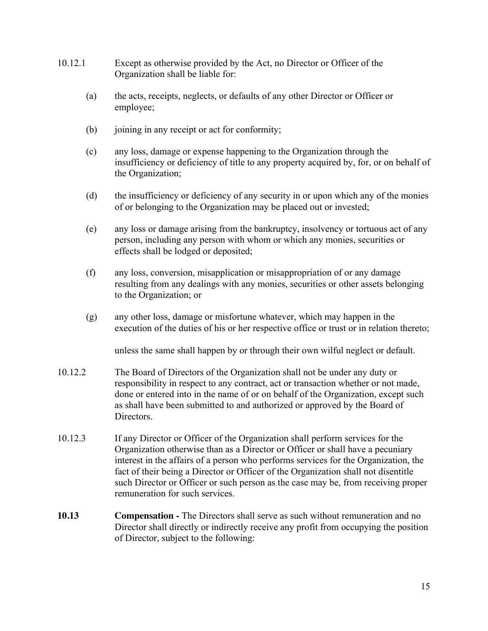- 10.12.1 Except as otherwise provided by the Act, no Director or Officer of the Organization shall be liable for:
	- (a) the acts, receipts, neglects, or defaults of any other Director or Officer or employee;
	- (b) joining in any receipt or act for conformity;
	- (c) any loss, damage or expense happening to the Organization through the insufficiency or deficiency of title to any property acquired by, for, or on behalf of the Organization;
	- (d) the insufficiency or deficiency of any security in or upon which any of the monies of or belonging to the Organization may be placed out or invested;
	- (e) any loss or damage arising from the bankruptcy, insolvency or tortuous act of any person, including any person with whom or which any monies, securities or effects shall be lodged or deposited;
	- (f) any loss, conversion, misapplication or misappropriation of or any damage resulting from any dealings with any monies, securities or other assets belonging to the Organization; or
	- (g) any other loss, damage or misfortune whatever, which may happen in the execution of the duties of his or her respective office or trust or in relation thereto;

unless the same shall happen by or through their own wilful neglect or default.

- 10.12.2 The Board of Directors of the Organization shall not be under any duty or responsibility in respect to any contract, act or transaction whether or not made, done or entered into in the name of or on behalf of the Organization, except such as shall have been submitted to and authorized or approved by the Board of Directors.
- 10.12.3 If any Director or Officer of the Organization shall perform services for the Organization otherwise than as a Director or Officer or shall have a pecuniary interest in the affairs of a person who performs services for the Organization, the fact of their being a Director or Officer of the Organization shall not disentitle such Director or Officer or such person as the case may be, from receiving proper remuneration for such services.
- **10.13 Compensation -** The Directors shall serve as such without remuneration and no Director shall directly or indirectly receive any profit from occupying the position of Director, subject to the following: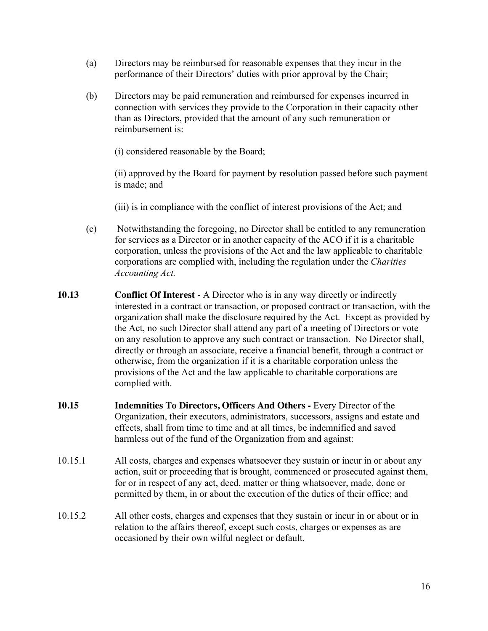- (a) Directors may be reimbursed for reasonable expenses that they incur in the performance of their Directors' duties with prior approval by the Chair;
- (b) Directors may be paid remuneration and reimbursed for expenses incurred in connection with services they provide to the Corporation in their capacity other than as Directors, provided that the amount of any such remuneration or reimbursement is:
	- (i) considered reasonable by the Board;

(ii) approved by the Board for payment by resolution passed before such payment is made; and

(iii) is in compliance with the conflict of interest provisions of the Act; and

- (c) Notwithstanding the foregoing, no Director shall be entitled to any remuneration for services as a Director or in another capacity of the ACO if it is a charitable corporation, unless the provisions of the Act and the law applicable to charitable corporations are complied with, including the regulation under the *Charities Accounting Act.*
- **10.13 Conflict Of Interest -** A Director who is in any way directly or indirectly interested in a contract or transaction, or proposed contract or transaction, with the organization shall make the disclosure required by the Act. Except as provided by the Act, no such Director shall attend any part of a meeting of Directors or vote on any resolution to approve any such contract or transaction. No Director shall, directly or through an associate, receive a financial benefit, through a contract or otherwise, from the organization if it is a charitable corporation unless the provisions of the Act and the law applicable to charitable corporations are complied with.
- **10.15 Indemnities To Directors, Officers And Others -** Every Director of the Organization, their executors, administrators, successors, assigns and estate and effects, shall from time to time and at all times, be indemnified and saved harmless out of the fund of the Organization from and against:
- 10.15.1 All costs, charges and expenses whatsoever they sustain or incur in or about any action, suit or proceeding that is brought, commenced or prosecuted against them, for or in respect of any act, deed, matter or thing whatsoever, made, done or permitted by them, in or about the execution of the duties of their office; and
- 10.15.2 All other costs, charges and expenses that they sustain or incur in or about or in relation to the affairs thereof, except such costs, charges or expenses as are occasioned by their own wilful neglect or default.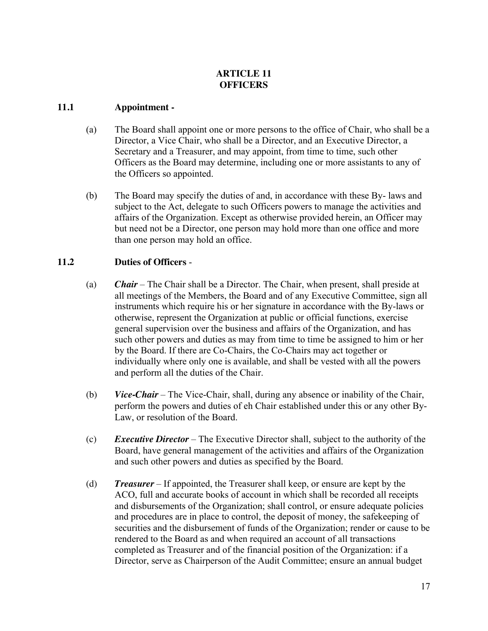# **ARTICLE 11 OFFICERS**

# **11.1 Appointment -**

- (a) The Board shall appoint one or more persons to the office of Chair, who shall be a Director, a Vice Chair, who shall be a Director, and an Executive Director, a Secretary and a Treasurer, and may appoint, from time to time, such other Officers as the Board may determine, including one or more assistants to any of the Officers so appointed.
- (b) The Board may specify the duties of and, in accordance with these By- laws and subject to the Act, delegate to such Officers powers to manage the activities and affairs of the Organization. Except as otherwise provided herein, an Officer may but need not be a Director, one person may hold more than one office and more than one person may hold an office.

# **11.2 Duties of Officers** -

- (a) *Chair*  The Chair shall be a Director. The Chair, when present, shall preside at all meetings of the Members, the Board and of any Executive Committee, sign all instruments which require his or her signature in accordance with the By-laws or otherwise, represent the Organization at public or official functions, exercise general supervision over the business and affairs of the Organization, and has such other powers and duties as may from time to time be assigned to him or her by the Board. If there are Co-Chairs, the Co-Chairs may act together or individually where only one is available, and shall be vested with all the powers and perform all the duties of the Chair.
- (b) *Vice-Chair*  The Vice-Chair, shall, during any absence or inability of the Chair, perform the powers and duties of eh Chair established under this or any other By-Law, or resolution of the Board.
- (c) *Executive Director*  The Executive Director shall, subject to the authority of the Board, have general management of the activities and affairs of the Organization and such other powers and duties as specified by the Board.
- (d) *Treasurer*  If appointed, the Treasurer shall keep, or ensure are kept by the ACO, full and accurate books of account in which shall be recorded all receipts and disbursements of the Organization; shall control, or ensure adequate policies and procedures are in place to control, the deposit of money, the safekeeping of securities and the disbursement of funds of the Organization; render or cause to be rendered to the Board as and when required an account of all transactions completed as Treasurer and of the financial position of the Organization: if a Director, serve as Chairperson of the Audit Committee; ensure an annual budget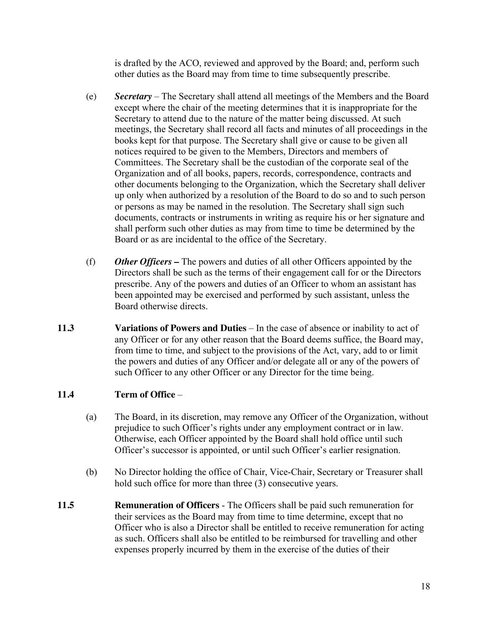is drafted by the ACO, reviewed and approved by the Board; and, perform such other duties as the Board may from time to time subsequently prescribe.

- (e) *Secretary*  The Secretary shall attend all meetings of the Members and the Board except where the chair of the meeting determines that it is inappropriate for the Secretary to attend due to the nature of the matter being discussed. At such meetings, the Secretary shall record all facts and minutes of all proceedings in the books kept for that purpose. The Secretary shall give or cause to be given all notices required to be given to the Members, Directors and members of Committees. The Secretary shall be the custodian of the corporate seal of the Organization and of all books, papers, records, correspondence, contracts and other documents belonging to the Organization, which the Secretary shall deliver up only when authorized by a resolution of the Board to do so and to such person or persons as may be named in the resolution. The Secretary shall sign such documents, contracts or instruments in writing as require his or her signature and shall perform such other duties as may from time to time be determined by the Board or as are incidental to the office of the Secretary.
- (f) *Other Officers* **–** The powers and duties of all other Officers appointed by the Directors shall be such as the terms of their engagement call for or the Directors prescribe. Any of the powers and duties of an Officer to whom an assistant has been appointed may be exercised and performed by such assistant, unless the Board otherwise directs.
- **11.3** Variations of Powers and Duties In the case of absence or inability to act of any Officer or for any other reason that the Board deems suffice, the Board may, from time to time, and subject to the provisions of the Act, vary, add to or limit the powers and duties of any Officer and/or delegate all or any of the powers of such Officer to any other Officer or any Director for the time being.

# **11.4 Term of Office** –

- (a) The Board, in its discretion, may remove any Officer of the Organization, without prejudice to such Officer's rights under any employment contract or in law. Otherwise, each Officer appointed by the Board shall hold office until such Officer's successor is appointed, or until such Officer's earlier resignation.
- (b) No Director holding the office of Chair, Vice-Chair, Secretary or Treasurer shall hold such office for more than three (3) consecutive years.
- **11.5 Remuneration of Officers**  The Officers shall be paid such remuneration for their services as the Board may from time to time determine, except that no Officer who is also a Director shall be entitled to receive remuneration for acting as such. Officers shall also be entitled to be reimbursed for travelling and other expenses properly incurred by them in the exercise of the duties of their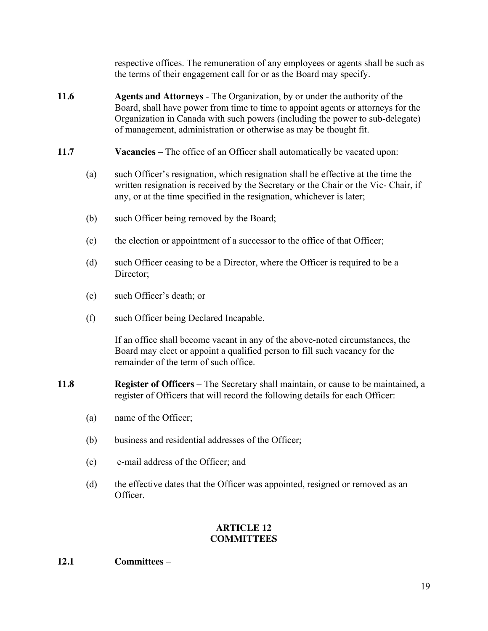respective offices. The remuneration of any employees or agents shall be such as the terms of their engagement call for or as the Board may specify.

- **11.6 Agents and Attorneys**  The Organization, by or under the authority of the Board, shall have power from time to time to appoint agents or attorneys for the Organization in Canada with such powers (including the power to sub-delegate) of management, administration or otherwise as may be thought fit.
- **11.7** Vacancies The office of an Officer shall automatically be vacated upon:
	- (a) such Officer's resignation, which resignation shall be effective at the time the written resignation is received by the Secretary or the Chair or the Vic- Chair, if any, or at the time specified in the resignation, whichever is later;
	- (b) such Officer being removed by the Board;
	- (c) the election or appointment of a successor to the office of that Officer;
	- (d) such Officer ceasing to be a Director, where the Officer is required to be a Director:
	- (e) such Officer's death; or
	- (f) such Officer being Declared Incapable.

If an office shall become vacant in any of the above-noted circumstances, the Board may elect or appoint a qualified person to fill such vacancy for the remainder of the term of such office.

- **11.8** Register of Officers The Secretary shall maintain, or cause to be maintained, a register of Officers that will record the following details for each Officer:
	- (a) name of the Officer;
	- (b) business and residential addresses of the Officer;
	- (c) e-mail address of the Officer; and
	- (d) the effective dates that the Officer was appointed, resigned or removed as an Officer.

# **ARTICLE 12 COMMITTEES**

**12.1 Committees** –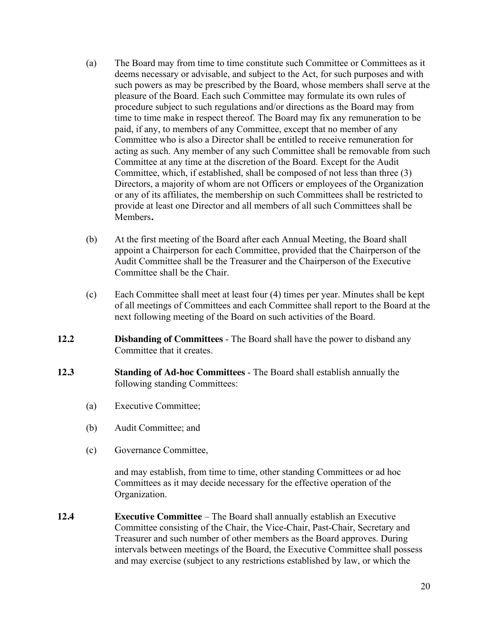- (a) The Board may from time to time constitute such Committee or Committees as it deems necessary or advisable, and subject to the Act, for such purposes and with such powers as may be prescribed by the Board, whose members shall serve at the pleasure of the Board. Each such Committee may formulate its own rules of procedure subject to such regulations and/or directions as the Board may from time to time make in respect thereof. The Board may fix any remuneration to be paid, if any, to members of any Committee, except that no member of any Committee who is also a Director shall be entitled to receive remuneration for acting as such. Any member of any such Committee shall be removable from such Committee at any time at the discretion of the Board. Except for the Audit Committee, which, if established, shall be composed of not less than three (3) Directors, a majority of whom are not Officers or employees of the Organization or any of its affiliates, the membership on such Committees shall be restricted to provide at least one Director and all members of all such Committees shall be Members**.**
- (b) At the first meeting of the Board after each Annual Meeting, the Board shall appoint a Chairperson for each Committee, provided that the Chairperson of the Audit Committee shall be the Treasurer and the Chairperson of the Executive Committee shall be the Chair.
- (c) Each Committee shall meet at least four (4) times per year. Minutes shall be kept of all meetings of Committees and each Committee shall report to the Board at the next following meeting of the Board on such activities of the Board.
- **12.2 Disbanding of Committees**  The Board shall have the power to disband any Committee that it creates.
- **12.3 Standing of Ad-hoc Committees**  The Board shall establish annually the following standing Committees:
	- (a) Executive Committee;
	- (b) Audit Committee; and
	- (c) Governance Committee,

and may establish, from time to time, other standing Committees or ad hoc Committees as it may decide necessary for the effective operation of the Organization.

**12.4 Executive Committee** – The Board shall annually establish an Executive Committee consisting of the Chair, the Vice-Chair, Past-Chair, Secretary and Treasurer and such number of other members as the Board approves. During intervals between meetings of the Board, the Executive Committee shall possess and may exercise (subject to any restrictions established by law, or which the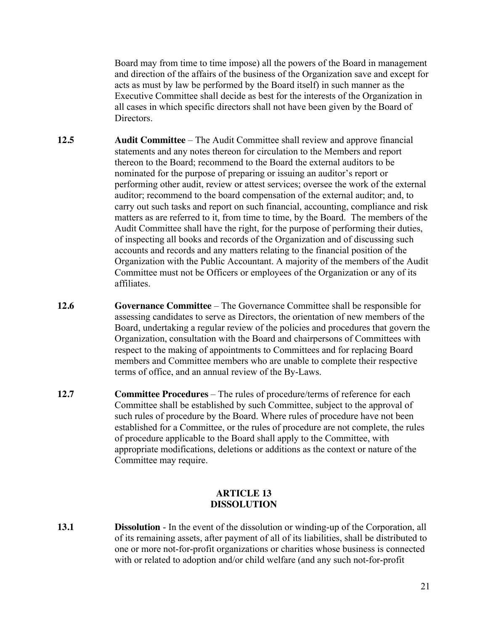Board may from time to time impose) all the powers of the Board in management and direction of the affairs of the business of the Organization save and except for acts as must by law be performed by the Board itself) in such manner as the Executive Committee shall decide as best for the interests of the Organization in all cases in which specific directors shall not have been given by the Board of Directors.

- **12.5 Audit Committee**  The Audit Committee shall review and approve financial statements and any notes thereon for circulation to the Members and report thereon to the Board; recommend to the Board the external auditors to be nominated for the purpose of preparing or issuing an auditor's report or performing other audit, review or attest services; oversee the work of the external auditor; recommend to the board compensation of the external auditor; and, to carry out such tasks and report on such financial, accounting, compliance and risk matters as are referred to it, from time to time, by the Board. The members of the Audit Committee shall have the right, for the purpose of performing their duties, of inspecting all books and records of the Organization and of discussing such accounts and records and any matters relating to the financial position of the Organization with the Public Accountant. A majority of the members of the Audit Committee must not be Officers or employees of the Organization or any of its affiliates.
- **12.6 Governance Committee** The Governance Committee shall be responsible for assessing candidates to serve as Directors, the orientation of new members of the Board, undertaking a regular review of the policies and procedures that govern the Organization, consultation with the Board and chairpersons of Committees with respect to the making of appointments to Committees and for replacing Board members and Committee members who are unable to complete their respective terms of office, and an annual review of the By-Laws.
- **12.7 Committee Procedures** The rules of procedure/terms of reference for each Committee shall be established by such Committee, subject to the approval of such rules of procedure by the Board. Where rules of procedure have not been established for a Committee, or the rules of procedure are not complete, the rules of procedure applicable to the Board shall apply to the Committee, with appropriate modifications, deletions or additions as the context or nature of the Committee may require.

## **ARTICLE 13 DISSOLUTION**

**13.1 Dissolution** - In the event of the dissolution or winding-up of the Corporation, all of its remaining assets, after payment of all of its liabilities, shall be distributed to one or more not-for-profit organizations or charities whose business is connected with or related to adoption and/or child welfare (and any such not-for-profit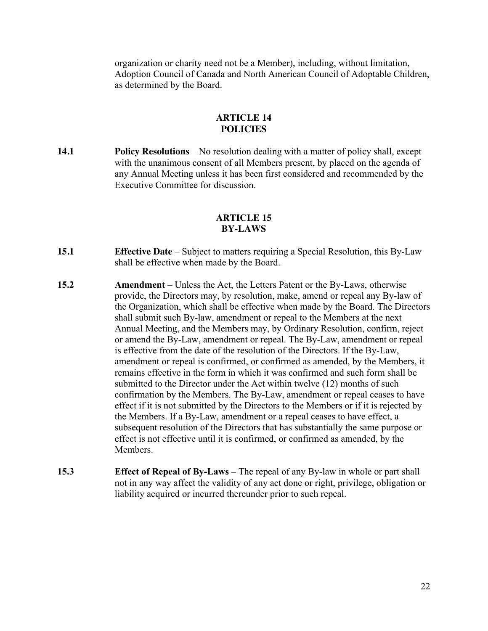organization or charity need not be a Member), including, without limitation, Adoption Council of Canada and North American Council of Adoptable Children, as determined by the Board.

#### **ARTICLE 14 POLICIES**

**14.1 Policy Resolutions** – No resolution dealing with a matter of policy shall, except with the unanimous consent of all Members present, by placed on the agenda of any Annual Meeting unless it has been first considered and recommended by the Executive Committee for discussion.

#### **ARTICLE 15 BY-LAWS**

- **15.1 Effective Date** Subject to matters requiring a Special Resolution, this By-Law shall be effective when made by the Board.
- **15.2 Amendment** Unless the Act, the Letters Patent or the By-Laws, otherwise provide, the Directors may, by resolution, make, amend or repeal any By-law of the Organization, which shall be effective when made by the Board. The Directors shall submit such By-law, amendment or repeal to the Members at the next Annual Meeting, and the Members may, by Ordinary Resolution, confirm, reject or amend the By-Law, amendment or repeal. The By-Law, amendment or repeal is effective from the date of the resolution of the Directors. If the By-Law, amendment or repeal is confirmed, or confirmed as amended, by the Members, it remains effective in the form in which it was confirmed and such form shall be submitted to the Director under the Act within twelve (12) months of such confirmation by the Members. The By-Law, amendment or repeal ceases to have effect if it is not submitted by the Directors to the Members or if it is rejected by the Members. If a By-Law, amendment or a repeal ceases to have effect, a subsequent resolution of the Directors that has substantially the same purpose or effect is not effective until it is confirmed, or confirmed as amended, by the Members.
- **15.3 Effect of Repeal of By-Laws –** The repeal of any By-law in whole or part shall not in any way affect the validity of any act done or right, privilege, obligation or liability acquired or incurred thereunder prior to such repeal.